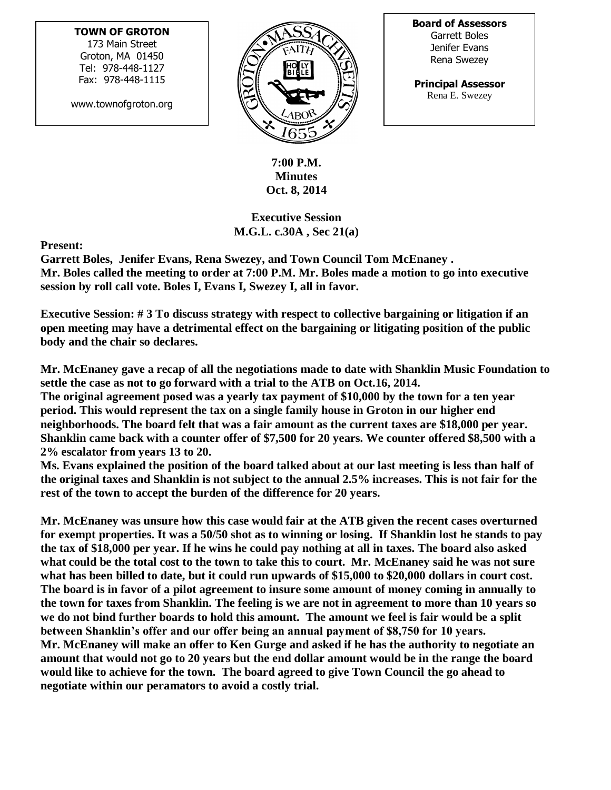## **TOWN OF GROTON**

173 Main Street Groton, MA 01450 Tel: 978-448-1127 Fax: 978-448-1115

www.townofgroton.org



**Board of Assessors** Garrett Boles Jenifer Evans Rena Swezey

**Principal Assessor** Rena E. Swezey

**7:00 P.M. Minutes Oct. 8, 2014**

**Executive Session M.G.L. c.30A , Sec 21(a)**

**Present:** 

**Garrett Boles, Jenifer Evans, Rena Swezey, and Town Council Tom McEnaney . Mr. Boles called the meeting to order at 7:00 P.M. Mr. Boles made a motion to go into executive session by roll call vote. Boles I, Evans I, Swezey I, all in favor.**

**Executive Session: # 3 To discuss strategy with respect to collective bargaining or litigation if an open meeting may have a detrimental effect on the bargaining or litigating position of the public body and the chair so declares.**

**Mr. McEnaney gave a recap of all the negotiations made to date with Shanklin Music Foundation to settle the case as not to go forward with a trial to the ATB on Oct.16, 2014.**

**The original agreement posed was a yearly tax payment of \$10,000 by the town for a ten year period. This would represent the tax on a single family house in Groton in our higher end neighborhoods. The board felt that was a fair amount as the current taxes are \$18,000 per year. Shanklin came back with a counter offer of \$7,500 for 20 years. We counter offered \$8,500 with a 2% escalator from years 13 to 20.** 

**Ms. Evans explained the position of the board talked about at our last meeting is less than half of the original taxes and Shanklin is not subject to the annual 2.5% increases. This is not fair for the rest of the town to accept the burden of the difference for 20 years.**

**Mr. McEnaney was unsure how this case would fair at the ATB given the recent cases overturned for exempt properties. It was a 50/50 shot as to winning or losing. If Shanklin lost he stands to pay the tax of \$18,000 per year. If he wins he could pay nothing at all in taxes. The board also asked what could be the total cost to the town to take this to court. Mr. McEnaney said he was not sure what has been billed to date, but it could run upwards of \$15,000 to \$20,000 dollars in court cost. The board is in favor of a pilot agreement to insure some amount of money coming in annually to the town for taxes from Shanklin. The feeling is we are not in agreement to more than 10 years so we do not bind further boards to hold this amount. The amount we feel is fair would be a split between Shanklin's offer and our offer being an annual payment of \$8,750 for 10 years. Mr. McEnaney will make an offer to Ken Gurge and asked if he has the authority to negotiate an amount that would not go to 20 years but the end dollar amount would be in the range the board would like to achieve for the town. The board agreed to give Town Council the go ahead to negotiate within our peramators to avoid a costly trial.**